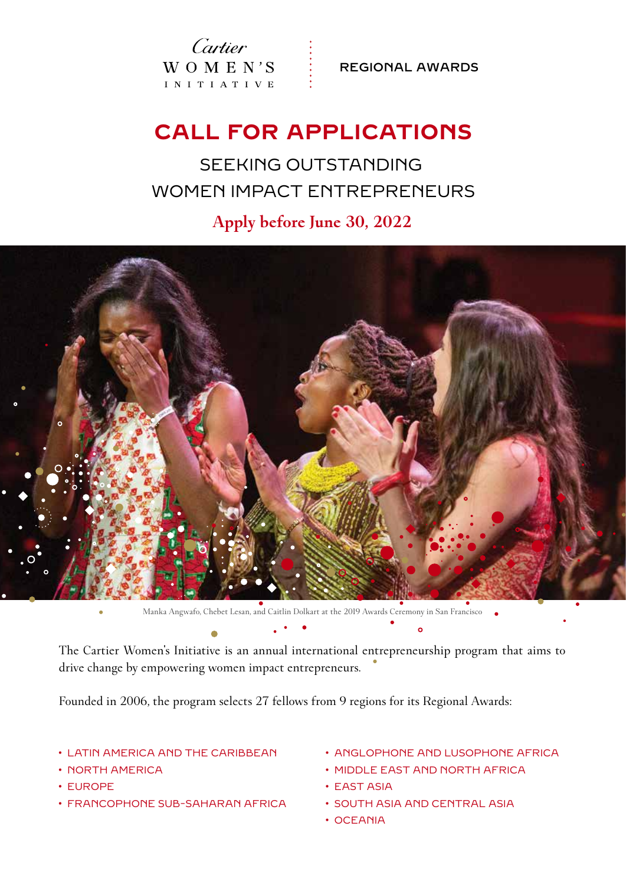Cartier  $W_O M E N'S$ I N I T I A T I V E

REGIONAL AWARDS

## **CALL FOR APPLICATIONS**

SEEKING OUTSTANDING WOMEN IMPACT ENTREPRENEURS

**Apply before June 30, 2022**



Manka Angwafo, Chebet Lesan, and Caitlin Dolkart at the 2019 Awards Ceremony in San Francisco

The Cartier Women's Initiative is an annual international entrepreneurship program that aims to drive change by empowering women impact entrepreneurs.

Founded in 2006, the program selects 27 fellows from 9 regions for its Regional Awards:

### • LATIN AMERICA AND THE CARIBBEAN

- NORTH AMERICA
- EUROPE
- FRANCOPHONE SUB-SAHARAN AFRICA
- ANGLOPHONE AND LUSOPHONE AFRICA
- MIDDLE EAST AND NORTH AFRICA
- EAST ASIA
- SOUTH ASIA AND CENTRAL ASIA
- OCEANIA